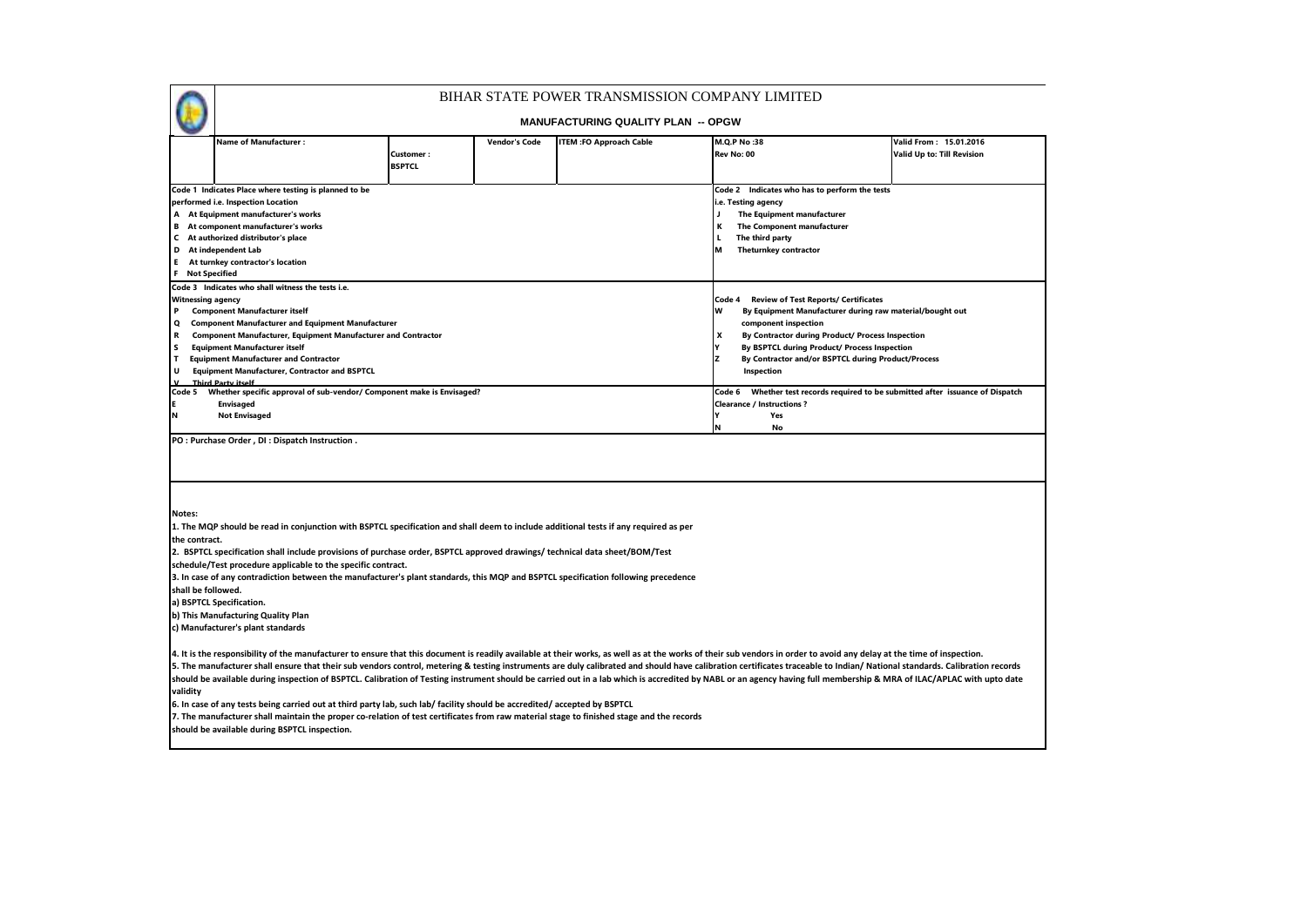| BIHAR STATE POWER TRANSMISSION COMPANY LIMITED |  |  |  |  |  |  |  |  |  |  |  |  |
|------------------------------------------------|--|--|--|--|--|--|--|--|--|--|--|--|
|------------------------------------------------|--|--|--|--|--|--|--|--|--|--|--|--|

 $\bigodot$ 

|                          | <b>Name of Manufacturer :</b>                                                                                                            |               | <b>Vendor's Code</b> | <b>ITEM :FO Approach Cable</b> | M.Q.P No:38                                                                                                                                                                                                                                                                                                                                                                                                                                        | Valid From: 15.01.2016     |
|--------------------------|------------------------------------------------------------------------------------------------------------------------------------------|---------------|----------------------|--------------------------------|----------------------------------------------------------------------------------------------------------------------------------------------------------------------------------------------------------------------------------------------------------------------------------------------------------------------------------------------------------------------------------------------------------------------------------------------------|----------------------------|
|                          |                                                                                                                                          | Customer:     |                      |                                | Rev No: 00                                                                                                                                                                                                                                                                                                                                                                                                                                         | Valid Up to: Till Revision |
|                          |                                                                                                                                          | <b>BSPTCL</b> |                      |                                |                                                                                                                                                                                                                                                                                                                                                                                                                                                    |                            |
|                          |                                                                                                                                          |               |                      |                                |                                                                                                                                                                                                                                                                                                                                                                                                                                                    |                            |
|                          | Code 1 Indicates Place where testing is planned to be                                                                                    |               |                      |                                | Code 2 Indicates who has to perform the tests                                                                                                                                                                                                                                                                                                                                                                                                      |                            |
|                          | performed i.e. Inspection Location                                                                                                       |               |                      |                                | i.e. Testing agency                                                                                                                                                                                                                                                                                                                                                                                                                                |                            |
|                          | A At Equipment manufacturer's works                                                                                                      |               |                      |                                | J.<br>The Equipment manufacturer                                                                                                                                                                                                                                                                                                                                                                                                                   |                            |
|                          | <b>B</b> At component manufacturer's works                                                                                               |               |                      |                                | The Component manufacturer<br>к                                                                                                                                                                                                                                                                                                                                                                                                                    |                            |
|                          | C At authorized distributor's place                                                                                                      |               |                      |                                | The third party                                                                                                                                                                                                                                                                                                                                                                                                                                    |                            |
|                          | D At independent Lab                                                                                                                     |               |                      |                                | <b>Theturnkey contractor</b>                                                                                                                                                                                                                                                                                                                                                                                                                       |                            |
|                          | E At turnkey contractor's location                                                                                                       |               |                      |                                |                                                                                                                                                                                                                                                                                                                                                                                                                                                    |                            |
| <b>F</b> Not Specified   |                                                                                                                                          |               |                      |                                |                                                                                                                                                                                                                                                                                                                                                                                                                                                    |                            |
|                          | Code 3 Indicates who shall witness the tests i.e.                                                                                        |               |                      |                                |                                                                                                                                                                                                                                                                                                                                                                                                                                                    |                            |
| <b>Witnessing agency</b> |                                                                                                                                          |               |                      |                                | Code 4<br><b>Review of Test Reports/ Certificates</b>                                                                                                                                                                                                                                                                                                                                                                                              |                            |
| P                        | <b>Component Manufacturer itself</b>                                                                                                     |               |                      |                                | w<br>By Equipment Manufacturer during raw material/bought out                                                                                                                                                                                                                                                                                                                                                                                      |                            |
| $\mathbf{o}$             | <b>Component Manufacturer and Equipment Manufacturer</b>                                                                                 |               |                      |                                | component inspection                                                                                                                                                                                                                                                                                                                                                                                                                               |                            |
| R                        | <b>Component Manufacturer, Equipment Manufacturer and Contractor</b>                                                                     |               |                      |                                | x<br>By Contractor during Product/ Process Inspection                                                                                                                                                                                                                                                                                                                                                                                              |                            |
| <b>S</b>                 | <b>Equipment Manufacturer itself</b>                                                                                                     |               |                      |                                | Y<br>By BSPTCL during Product/ Process Inspection                                                                                                                                                                                                                                                                                                                                                                                                  |                            |
| <b>T</b>                 | <b>Equipment Manufacturer and Contractor</b>                                                                                             |               |                      |                                | z<br>By Contractor and/or BSPTCL during Product/Process                                                                                                                                                                                                                                                                                                                                                                                            |                            |
| U                        | <b>Equipment Manufacturer, Contractor and BSPTCL</b>                                                                                     |               |                      |                                | Inspection                                                                                                                                                                                                                                                                                                                                                                                                                                         |                            |
| $\mathbf{v}$             | <b>Third Party itself</b>                                                                                                                |               |                      |                                |                                                                                                                                                                                                                                                                                                                                                                                                                                                    |                            |
|                          | Code 5 Whether specific approval of sub-vendor/ Component make is Envisaged?                                                             |               |                      |                                | Code 6 Whether test records required to be submitted after issuance of Dispatch                                                                                                                                                                                                                                                                                                                                                                    |                            |
|                          | <b>Envisaged</b>                                                                                                                         |               |                      |                                | <b>Clearance / Instructions ?</b>                                                                                                                                                                                                                                                                                                                                                                                                                  |                            |
| N                        | <b>Not Envisaged</b>                                                                                                                     |               |                      |                                | I۷<br>Yes<br>N<br>No                                                                                                                                                                                                                                                                                                                                                                                                                               |                            |
|                          |                                                                                                                                          |               |                      |                                |                                                                                                                                                                                                                                                                                                                                                                                                                                                    |                            |
| Notes:                   |                                                                                                                                          |               |                      |                                |                                                                                                                                                                                                                                                                                                                                                                                                                                                    |                            |
|                          | 1. The MQP should be read in conjunction with BSPTCL specification and shall deem to include additional tests if any required as per     |               |                      |                                |                                                                                                                                                                                                                                                                                                                                                                                                                                                    |                            |
| the contract.            |                                                                                                                                          |               |                      |                                |                                                                                                                                                                                                                                                                                                                                                                                                                                                    |                            |
|                          | 2. BSPTCL specification shall include provisions of purchase order, BSPTCL approved drawings/ technical data sheet/BOM/Test              |               |                      |                                |                                                                                                                                                                                                                                                                                                                                                                                                                                                    |                            |
|                          | schedule/Test procedure applicable to the specific contract.                                                                             |               |                      |                                |                                                                                                                                                                                                                                                                                                                                                                                                                                                    |                            |
|                          | 3. In case of any contradiction between the manufacturer's plant standards, this MQP and BSPTCL specification following precedence       |               |                      |                                |                                                                                                                                                                                                                                                                                                                                                                                                                                                    |                            |
| shall be followed.       |                                                                                                                                          |               |                      |                                |                                                                                                                                                                                                                                                                                                                                                                                                                                                    |                            |
|                          | a) BSPTCL Specification.                                                                                                                 |               |                      |                                |                                                                                                                                                                                                                                                                                                                                                                                                                                                    |                            |
|                          | b) This Manufacturing Quality Plan                                                                                                       |               |                      |                                |                                                                                                                                                                                                                                                                                                                                                                                                                                                    |                            |
|                          | c) Manufacturer's plant standards                                                                                                        |               |                      |                                |                                                                                                                                                                                                                                                                                                                                                                                                                                                    |                            |
|                          |                                                                                                                                          |               |                      |                                |                                                                                                                                                                                                                                                                                                                                                                                                                                                    |                            |
|                          |                                                                                                                                          |               |                      |                                |                                                                                                                                                                                                                                                                                                                                                                                                                                                    |                            |
|                          |                                                                                                                                          |               |                      |                                | 4. It is the responsibility of the manufacturer to ensure that this document is readily available at their works, as well as at the works of their sub vendors in order to avoid any delay at the time of inspection.<br>5. The manufacturer shall ensure that their sub vendors control, metering & testing instruments are duly calibrated and should have calibration certificates traceable to Indian/ National standards. Calibration records |                            |
|                          |                                                                                                                                          |               |                      |                                | should be available during inspection of BSPTCL. Calibration of Testing instrument should be carried out in a lab which is accredited by NABL or an agency having full membership & MRA of ILAC/APLAC with upto date                                                                                                                                                                                                                               |                            |
|                          |                                                                                                                                          |               |                      |                                |                                                                                                                                                                                                                                                                                                                                                                                                                                                    |                            |
| validity                 |                                                                                                                                          |               |                      |                                |                                                                                                                                                                                                                                                                                                                                                                                                                                                    |                            |
|                          | 6. In case of any tests being carried out at third party lab, such lab/ facility should be accredited/ accepted by BSPTCL                |               |                      |                                |                                                                                                                                                                                                                                                                                                                                                                                                                                                    |                            |
|                          | 7. The manufacturer shall maintain the proper co-relation of test certificates from raw material stage to finished stage and the records |               |                      |                                |                                                                                                                                                                                                                                                                                                                                                                                                                                                    |                            |
|                          | should be available during BSPTCL inspection.                                                                                            |               |                      |                                |                                                                                                                                                                                                                                                                                                                                                                                                                                                    |                            |
|                          |                                                                                                                                          |               |                      |                                |                                                                                                                                                                                                                                                                                                                                                                                                                                                    |                            |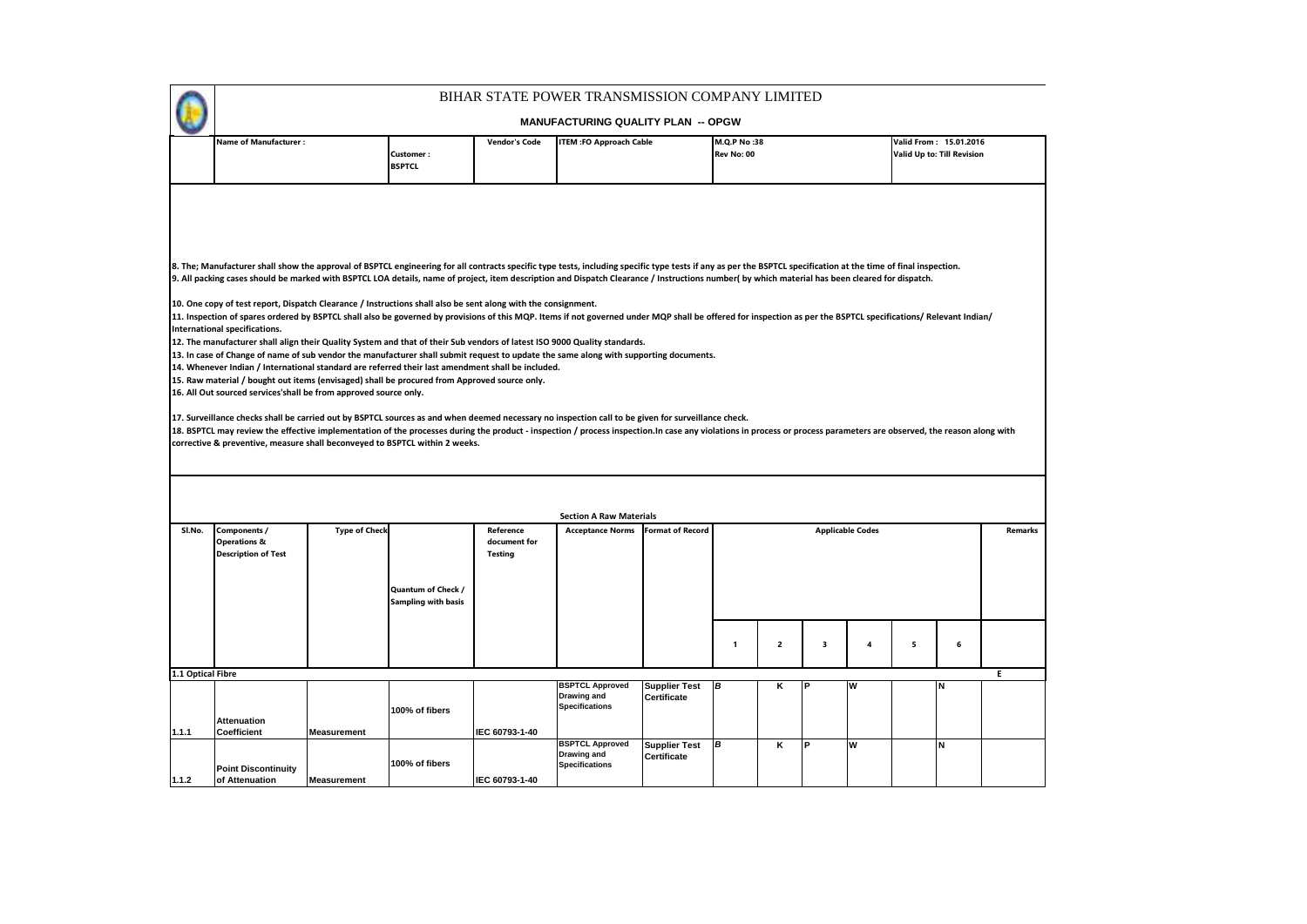|                   |                                                                                                                                                                                                                                                                                                                                                                                                                                                                                                                                                                                                                                                                                                                                                                                                                                                                                                                                                                                                                                                                                                                                                                                                                                                                                                                                                                                                                                                                                                                                                                                                                                                                                                                                                                                                     |                      |                                                  |                                             | BIHAR STATE POWER TRANSMISSION COMPANY LIMITED                 |                                            |                           |             |   |                         |   |                                                      |                |
|-------------------|-----------------------------------------------------------------------------------------------------------------------------------------------------------------------------------------------------------------------------------------------------------------------------------------------------------------------------------------------------------------------------------------------------------------------------------------------------------------------------------------------------------------------------------------------------------------------------------------------------------------------------------------------------------------------------------------------------------------------------------------------------------------------------------------------------------------------------------------------------------------------------------------------------------------------------------------------------------------------------------------------------------------------------------------------------------------------------------------------------------------------------------------------------------------------------------------------------------------------------------------------------------------------------------------------------------------------------------------------------------------------------------------------------------------------------------------------------------------------------------------------------------------------------------------------------------------------------------------------------------------------------------------------------------------------------------------------------------------------------------------------------------------------------------------------------|----------------------|--------------------------------------------------|---------------------------------------------|----------------------------------------------------------------|--------------------------------------------|---------------------------|-------------|---|-------------------------|---|------------------------------------------------------|----------------|
|                   |                                                                                                                                                                                                                                                                                                                                                                                                                                                                                                                                                                                                                                                                                                                                                                                                                                                                                                                                                                                                                                                                                                                                                                                                                                                                                                                                                                                                                                                                                                                                                                                                                                                                                                                                                                                                     |                      |                                                  |                                             | <b>MANUFACTURING QUALITY PLAN -- OPGW</b>                      |                                            |                           |             |   |                         |   |                                                      |                |
|                   | <b>Name of Manufacturer:</b>                                                                                                                                                                                                                                                                                                                                                                                                                                                                                                                                                                                                                                                                                                                                                                                                                                                                                                                                                                                                                                                                                                                                                                                                                                                                                                                                                                                                                                                                                                                                                                                                                                                                                                                                                                        |                      | <b>Customer:</b><br><b>BSPTCL</b>                | <b>Vendor's Code</b>                        | <b>ITEM :FO Approach Cable</b>                                 |                                            | M.Q.P No:38<br>Rev No: 00 |             |   |                         |   | Valid From: 15.01.2016<br>Valid Up to: Till Revision |                |
|                   | 8. The; Manufacturer shall show the approval of BSPTCL engineering for all contracts specific type tests, including specific type tests if any as per the BSPTCL specification at the time of final inspection.<br>9. All packing cases should be marked with BSPTCL LOA details, name of project, item description and Dispatch Clearance / Instructions number( by which material has been cleared for dispatch.<br>10. One copy of test report, Dispatch Clearance / Instructions shall also be sent along with the consignment.<br>11. Inspection of spares ordered by BSPTCL shall also be governed by provisions of this MQP. Items if not governed under MQP shall be offered for inspection as per the BSPTCL specifications/ Relevant Indian/<br>International specifications.<br>12. The manufacturer shall align their Quality System and that of their Sub vendors of latest ISO 9000 Quality standards.<br>13. In case of Change of name of sub vendor the manufacturer shall submit request to update the same along with supporting documents.<br>14. Whenever Indian / International standard are referred their last amendment shall be included.<br>15. Raw material / bought out items (envisaged) shall be procured from Approved source only.<br>16. All Out sourced services'shall be from approved source only.<br>17. Surveillance checks shall be carried out by BSPTCL sources as and when deemed necessary no inspection call to be given for surveillance check.<br>18. BSPTCL may review the effective implementation of the processes during the product - inspection / process inspection.In case any violations in process or process parameters are observed, the reason along with<br>corrective & preventive, measure shall beconveyed to BSPTCL within 2 weeks. |                      |                                                  |                                             |                                                                |                                            |                           |             |   |                         |   |                                                      |                |
|                   |                                                                                                                                                                                                                                                                                                                                                                                                                                                                                                                                                                                                                                                                                                                                                                                                                                                                                                                                                                                                                                                                                                                                                                                                                                                                                                                                                                                                                                                                                                                                                                                                                                                                                                                                                                                                     |                      |                                                  |                                             |                                                                |                                            |                           |             |   |                         |   |                                                      |                |
|                   |                                                                                                                                                                                                                                                                                                                                                                                                                                                                                                                                                                                                                                                                                                                                                                                                                                                                                                                                                                                                                                                                                                                                                                                                                                                                                                                                                                                                                                                                                                                                                                                                                                                                                                                                                                                                     |                      |                                                  |                                             | <b>Section A Raw Materials</b>                                 |                                            |                           |             |   |                         |   |                                                      |                |
| SI.No.            | Components /<br><b>Operations &amp;</b><br><b>Description of Test</b>                                                                                                                                                                                                                                                                                                                                                                                                                                                                                                                                                                                                                                                                                                                                                                                                                                                                                                                                                                                                                                                                                                                                                                                                                                                                                                                                                                                                                                                                                                                                                                                                                                                                                                                               | <b>Type of Check</b> | Quantum of Check /<br><b>Sampling with basis</b> | Reference<br>document for<br><b>Testing</b> | <b>Acceptance Norms</b>                                        | <b>Format of Record</b>                    |                           |             |   | <b>Applicable Codes</b> |   |                                                      | <b>Remarks</b> |
|                   |                                                                                                                                                                                                                                                                                                                                                                                                                                                                                                                                                                                                                                                                                                                                                                                                                                                                                                                                                                                                                                                                                                                                                                                                                                                                                                                                                                                                                                                                                                                                                                                                                                                                                                                                                                                                     |                      |                                                  |                                             |                                                                |                                            |                           |             |   |                         |   |                                                      |                |
|                   |                                                                                                                                                                                                                                                                                                                                                                                                                                                                                                                                                                                                                                                                                                                                                                                                                                                                                                                                                                                                                                                                                                                                                                                                                                                                                                                                                                                                                                                                                                                                                                                                                                                                                                                                                                                                     |                      |                                                  |                                             |                                                                |                                            | $\mathbf{1}$              | $\mathbf 2$ | 3 | $\overline{4}$          | 5 | 6                                                    |                |
| 1.1 Optical Fibre |                                                                                                                                                                                                                                                                                                                                                                                                                                                                                                                                                                                                                                                                                                                                                                                                                                                                                                                                                                                                                                                                                                                                                                                                                                                                                                                                                                                                                                                                                                                                                                                                                                                                                                                                                                                                     |                      |                                                  |                                             |                                                                |                                            |                           |             |   |                         |   |                                                      | E              |
|                   | <b>Attenuation</b>                                                                                                                                                                                                                                                                                                                                                                                                                                                                                                                                                                                                                                                                                                                                                                                                                                                                                                                                                                                                                                                                                                                                                                                                                                                                                                                                                                                                                                                                                                                                                                                                                                                                                                                                                                                  |                      | 100% of fibers                                   |                                             | <b>BSPTCL Approved</b><br>Drawing and<br><b>Specifications</b> | <b>Supplier Test</b><br><b>Certificate</b> | B                         | Κ           |   | W                       |   |                                                      |                |
| 1.1.1             | <b>Coefficient</b>                                                                                                                                                                                                                                                                                                                                                                                                                                                                                                                                                                                                                                                                                                                                                                                                                                                                                                                                                                                                                                                                                                                                                                                                                                                                                                                                                                                                                                                                                                                                                                                                                                                                                                                                                                                  | <b>Measurement</b>   |                                                  | IEC 60793-1-40                              |                                                                |                                            |                           |             |   |                         |   |                                                      |                |
| 1.1.2             | <b>Point Discontinuity</b><br>of Attenuation                                                                                                                                                                                                                                                                                                                                                                                                                                                                                                                                                                                                                                                                                                                                                                                                                                                                                                                                                                                                                                                                                                                                                                                                                                                                                                                                                                                                                                                                                                                                                                                                                                                                                                                                                        | <b>Measurement</b>   | 100% of fibers                                   | IEC 60793-1-40                              | <b>BSPTCL Approved</b><br>Drawing and<br><b>Specifications</b> | <b>Supplier Test</b><br>Certificate        | B                         | κ           |   | W                       |   | N                                                    |                |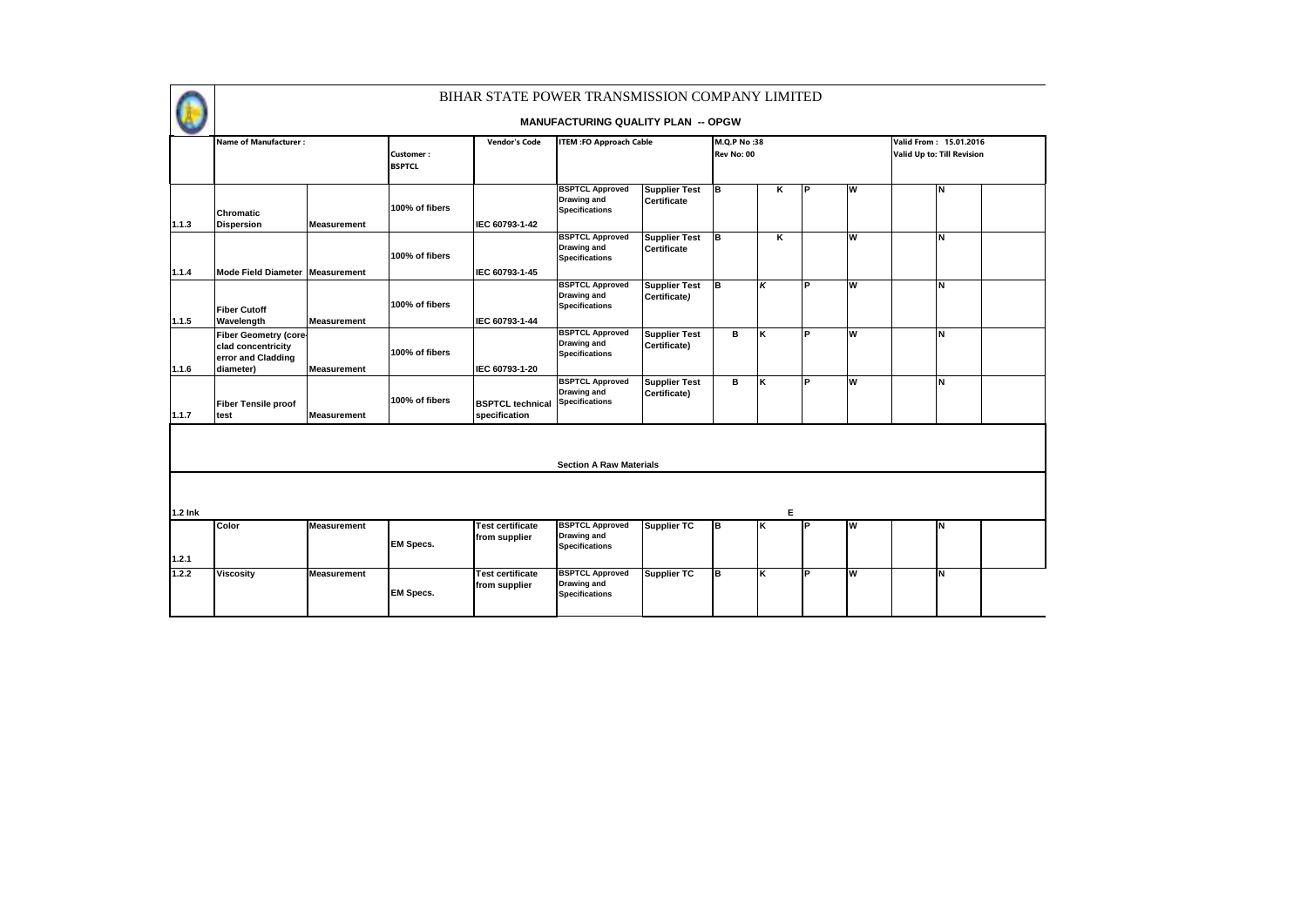|         |                                                                                       |                    |                            | BIHAR STATE POWER TRANSMISSION COMPANY LIMITED | <b>MANUFACTURING QUALITY PLAN -- OPGW</b>                      |                                            |                           |    |           |          |                                                             |  |
|---------|---------------------------------------------------------------------------------------|--------------------|----------------------------|------------------------------------------------|----------------------------------------------------------------|--------------------------------------------|---------------------------|----|-----------|----------|-------------------------------------------------------------|--|
|         | <b>Name of Manufacturer:</b>                                                          |                    | Customer:<br><b>BSPTCL</b> | <b>Vendor's Code</b>                           | <b>ITEM :FO Approach Cable</b>                                 |                                            | M.Q.P No:38<br>Rev No: 00 |    |           |          | Valid From: 15.01.2016<br><b>Valid Up to: Till Revision</b> |  |
| 1.1.3   | <b>Chromatic</b><br><b>Dispersion</b>                                                 | <b>Measurement</b> | 100% of fibers             | IEC 60793-1-42                                 | <b>BSPTCL Approved</b><br>Drawing and<br><b>Specifications</b> | <b>Supplier Test</b><br>Certificate        | lв.                       | κ  | l P       | <b>W</b> | İΝ                                                          |  |
| 1.1.4   | Mode Field Diameter Measurement                                                       |                    | 100% of fibers             | IEC 60793-1-45                                 | <b>BSPTCL Approved</b><br>Drawing and<br><b>Specifications</b> | <b>Supplier Test</b><br><b>Certificate</b> | lв.                       | Κ  |           | W        | N                                                           |  |
| 1.1.5   | <b>Fiber Cutoff</b><br>Wavelength                                                     | <b>Measurement</b> | 100% of fibers             | IEC 60793-1-44                                 | <b>BSPTCL Approved</b><br>Drawing and<br><b>Specifications</b> | <b>Supplier Test</b><br>Certificate)       | lв.                       | κ  | P         | W        | N                                                           |  |
| 1.1.6   | <b>Fiber Geometry (core-</b><br>clad concentricity<br>error and Cladding<br>diameter) | <b>Measurement</b> | 100% of fibers             | IEC 60793-1-20                                 | <b>BSPTCL Approved</b><br>Drawing and<br><b>Specifications</b> | <b>Supplier Test</b><br>Certificate)       | в                         | ĸ  | <b>IP</b> | W        | N                                                           |  |
| 1.1.7   | <b>Fiber Tensile proof</b><br>test                                                    | <b>Measurement</b> | 100% of fibers             | <b>BSPTCL technical</b><br>specification       | <b>BSPTCL Approved</b><br>Drawing and<br><b>Specifications</b> | <b>Supplier Test</b><br>Certificate)       | B                         | ĸ  | P         | W        | N                                                           |  |
|         |                                                                                       |                    |                            |                                                | <b>Section A Raw Materials</b>                                 |                                            |                           |    |           |          |                                                             |  |
| 1.2 Ink |                                                                                       |                    |                            |                                                |                                                                |                                            |                           | Е  |           |          |                                                             |  |
| 1.2.1   | Color                                                                                 | <b>Measurement</b> | <b>EM Specs.</b>           | <b>Test certificate</b><br>from supplier       | <b>BSPTCL Approved</b><br>Drawing and<br><b>Specifications</b> | <b>Supplier TC</b>                         | Iв                        | Ιĸ | P         | W        | İΝ                                                          |  |
| 1.2.2   | <b>Viscosity</b>                                                                      | <b>Measurement</b> | <b>EM Specs.</b>           | <b>Test certificate</b><br>from supplier       | <b>BSPTCL Approved</b><br>Drawing and<br><b>Specifications</b> | <b>Supplier TC</b>                         | Iв                        | K  | IР        | W        | İΝ                                                          |  |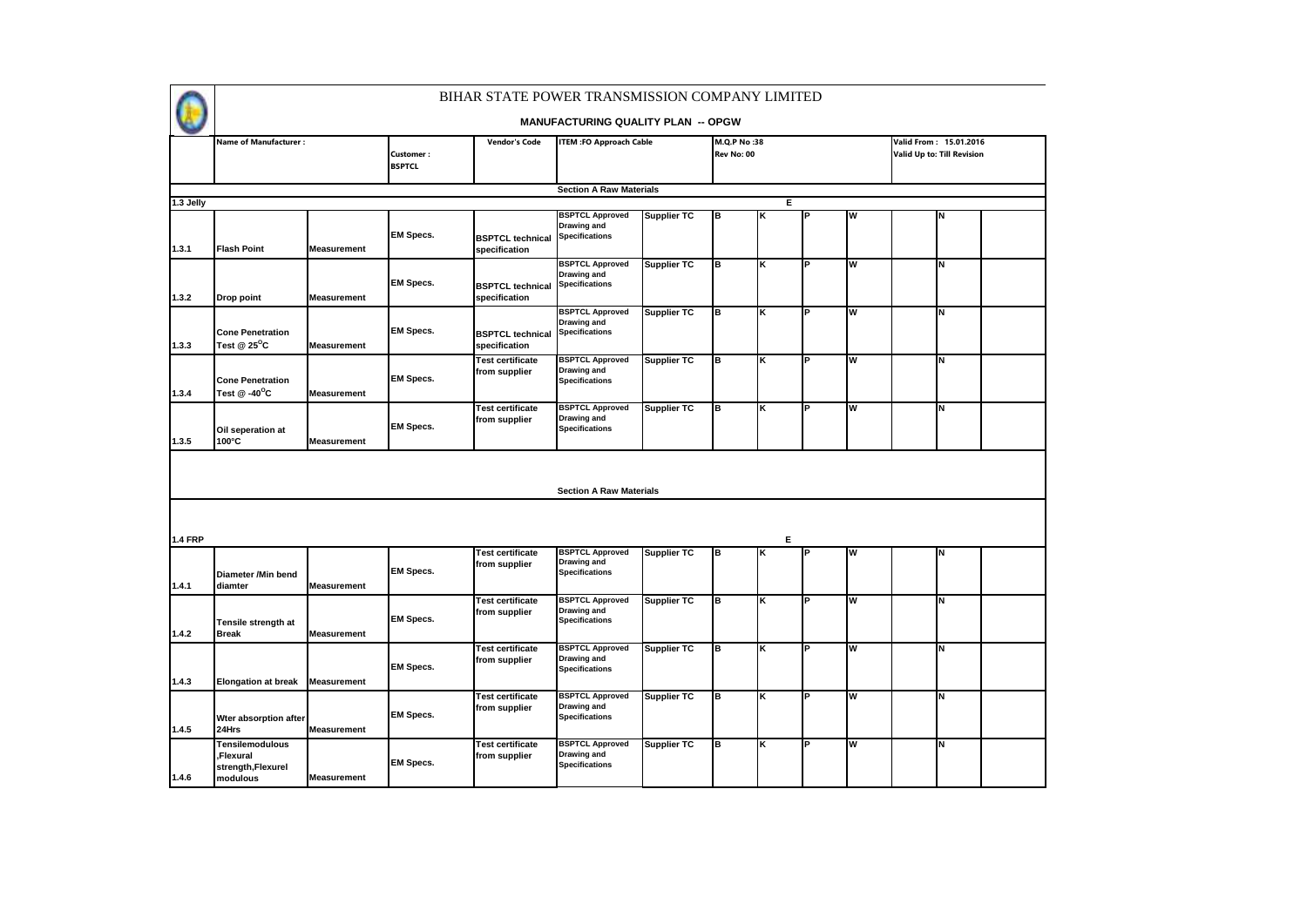

|                | <b>Name of Manufacturer:</b> |                    |                  | <b>Vendor's Code</b>                     | <b>ITEM :FO Approach Cable</b>              |                    | M.Q.P No:38 |   |     |   | Valid From: 15.01.2016     |  |
|----------------|------------------------------|--------------------|------------------|------------------------------------------|---------------------------------------------|--------------------|-------------|---|-----|---|----------------------------|--|
|                |                              |                    | <b>Customer:</b> |                                          |                                             |                    | Rev No: 00  |   |     |   | Valid Up to: Till Revision |  |
|                |                              |                    | <b>BSPTCL</b>    |                                          |                                             |                    |             |   |     |   |                            |  |
|                |                              |                    |                  |                                          |                                             |                    |             |   |     |   |                            |  |
|                |                              |                    |                  |                                          | <b>Section A Raw Materials</b>              |                    |             |   |     |   |                            |  |
| 1.3 Jelly      |                              |                    |                  |                                          |                                             |                    |             |   | Е   |   |                            |  |
|                |                              |                    |                  |                                          | <b>BSPTCL Approved</b>                      | <b>Supplier TC</b> | B           | K | lP. | w | N                          |  |
|                |                              |                    | <b>EM Specs.</b> |                                          | Drawing and<br><b>Specifications</b>        |                    |             |   |     |   |                            |  |
| 1.3.1          | <b>Flash Point</b>           | <b>Measurement</b> |                  | <b>BSPTCL</b> technical<br>specification |                                             |                    |             |   |     |   |                            |  |
|                |                              |                    |                  |                                          |                                             |                    |             |   |     |   |                            |  |
|                |                              |                    |                  |                                          | <b>BSPTCL Approved</b><br>Drawing and       | <b>Supplier TC</b> | B           | K | ΙP  | W | N                          |  |
|                |                              |                    | <b>EM Specs.</b> | <b>BSPTCL technical</b>                  | <b>Specifications</b>                       |                    |             |   |     |   |                            |  |
| 1.3.2          | Drop point                   | <b>Measurement</b> |                  | specification                            |                                             |                    |             |   |     |   |                            |  |
|                |                              |                    |                  |                                          | <b>BSPTCL Approved</b>                      | <b>Supplier TC</b> | lв          | K | l P | W | N                          |  |
|                |                              |                    |                  |                                          | Drawing and                                 |                    |             |   |     |   |                            |  |
|                | <b>Cone Penetration</b>      |                    | <b>EM Specs.</b> | <b>BSPTCL technical</b>                  | <b>Specifications</b>                       |                    |             |   |     |   |                            |  |
| 1.3.3          | Test @ 25 $^{\circ}$ C       | <b>Measurement</b> |                  | specification                            |                                             |                    |             |   |     |   |                            |  |
|                |                              |                    |                  | <b>Test certificate</b>                  | <b>BSPTCL Approved</b>                      | <b>Supplier TC</b> | B           | κ | P   | W | N                          |  |
|                |                              |                    |                  | from supplier                            | Drawing and                                 |                    |             |   |     |   |                            |  |
|                | <b>Cone Penetration</b>      |                    | <b>EM Specs.</b> |                                          | <b>Specifications</b>                       |                    |             |   |     |   |                            |  |
| 1.3.4          | Test $@ -40$ <sup>o</sup> C  | <b>Measurement</b> |                  |                                          |                                             |                    |             |   |     |   |                            |  |
|                |                              |                    |                  | <b>Test certificate</b>                  | <b>BSPTCL Approved</b>                      | <b>Supplier TC</b> | B           | ĸ | ΙP  | W | z                          |  |
|                |                              |                    | <b>EM Specs.</b> | from supplier                            | <b>Drawing and</b><br><b>Specifications</b> |                    |             |   |     |   |                            |  |
|                | Oil seperation at            |                    |                  |                                          |                                             |                    |             |   |     |   |                            |  |
| 1.3.5          | 100°C                        | <b>Measurement</b> |                  |                                          |                                             |                    |             |   |     |   |                            |  |
|                |                              |                    |                  |                                          |                                             |                    |             |   |     |   |                            |  |
|                |                              |                    |                  |                                          |                                             |                    |             |   |     |   |                            |  |
|                |                              |                    |                  |                                          | <b>Section A Raw Materials</b>              |                    |             |   |     |   |                            |  |
|                |                              |                    |                  |                                          |                                             |                    |             |   |     |   |                            |  |
|                |                              |                    |                  |                                          |                                             |                    |             |   |     |   |                            |  |
|                |                              |                    |                  |                                          |                                             |                    |             |   |     |   |                            |  |
| <b>1.4 FRP</b> |                              |                    |                  |                                          |                                             |                    |             | Е |     |   |                            |  |
|                |                              |                    |                  | <b>Test certificate</b>                  | <b>BSPTCL Approved</b>                      | <b>Supplier TC</b> | B           | κ | ΙP  | W | N                          |  |
|                |                              |                    |                  | from supplier                            | <b>Drawing and</b>                          |                    |             |   |     |   |                            |  |
|                | Diameter /Min bend           |                    | <b>EM Specs.</b> |                                          | <b>Specifications</b>                       |                    |             |   |     |   |                            |  |
| 1.4.1          | diamter                      | <b>Measurement</b> |                  |                                          |                                             |                    |             |   |     |   |                            |  |
|                |                              |                    |                  | <b>Test certificate</b>                  | <b>BSPTCL Approved</b>                      | <b>Supplier TC</b> | B           | κ | l P | W | N                          |  |
|                |                              |                    | <b>EM Specs.</b> | from supplier                            | Drawing and                                 |                    |             |   |     |   |                            |  |
|                | Tensile strength at          |                    |                  |                                          | <b>Specifications</b>                       |                    |             |   |     |   |                            |  |
| 1.4.2          | <b>Break</b>                 | <b>Measurement</b> |                  |                                          |                                             |                    |             |   |     |   |                            |  |
|                |                              |                    |                  | <b>Test certificate</b>                  | <b>BSPTCL Approved</b>                      | <b>Supplier TC</b> | B           | κ | P   | W | N                          |  |
|                |                              |                    | <b>EM Specs.</b> | from supplier                            | <b>Drawing and</b><br><b>Specifications</b> |                    |             |   |     |   |                            |  |
| 1.4.3          | <b>Elongation at break</b>   | <b>Measurement</b> |                  |                                          |                                             |                    |             |   |     |   |                            |  |
|                |                              |                    |                  |                                          |                                             |                    |             |   | Þ   | W | N                          |  |
|                |                              |                    |                  | <b>Test certificate</b>                  | <b>BSPTCL Approved</b><br>Drawing and       | <b>Supplier TC</b> | lв          | K |     |   |                            |  |
|                | Wter absorption after        |                    | <b>EM Specs.</b> | from supplier                            | <b>Specifications</b>                       |                    |             |   |     |   |                            |  |
| 1.4.5          | 24Hrs                        | <b>Measurement</b> |                  |                                          |                                             |                    |             |   |     |   |                            |  |
|                | Tensilemodulous              |                    |                  | <b>Test certificate</b>                  | <b>BSPTCL Approved</b>                      | <b>Supplier TC</b> | B           | K | P   | W | N                          |  |
|                | ,Flexural                    |                    |                  | from supplier                            | <b>Drawing and</b>                          |                    |             |   |     |   |                            |  |
|                | strength, Flexurel           |                    | <b>EM Specs.</b> |                                          | <b>Specifications</b>                       |                    |             |   |     |   |                            |  |
| 1.4.6          | modulous                     | <b>Measurement</b> |                  |                                          |                                             |                    |             |   |     |   |                            |  |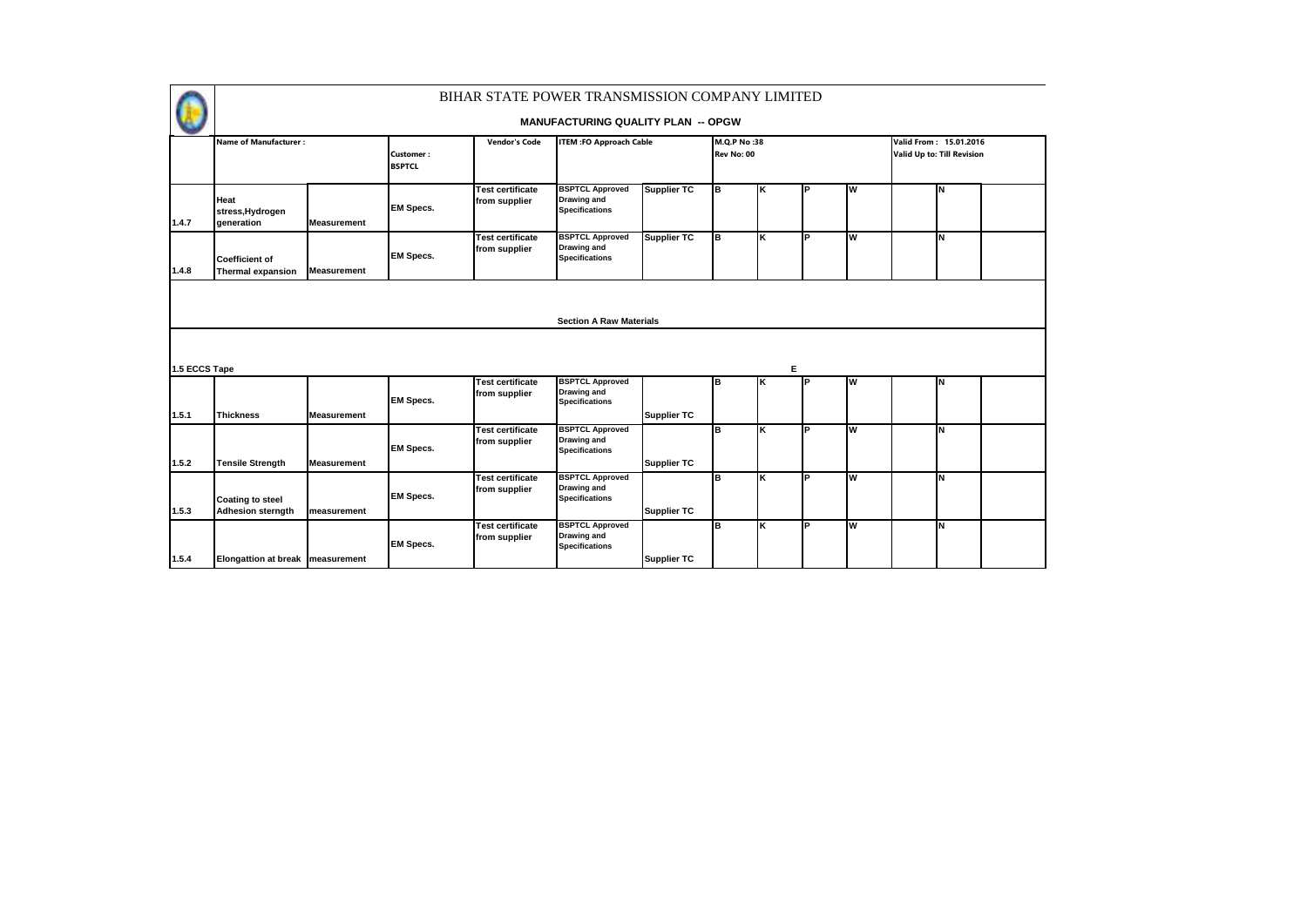|               |                                                     |                    |                            | BIHAR STATE POWER TRANSMISSION COMPANY LIMITED |                                                                |                    |                           |    |     |          |                                                             |  |
|---------------|-----------------------------------------------------|--------------------|----------------------------|------------------------------------------------|----------------------------------------------------------------|--------------------|---------------------------|----|-----|----------|-------------------------------------------------------------|--|
|               |                                                     |                    |                            |                                                | <b>MANUFACTURING QUALITY PLAN -- OPGW</b>                      |                    |                           |    |     |          |                                                             |  |
|               | <b>Name of Manufacturer:</b>                        |                    | Customer:<br><b>BSPTCL</b> | <b>Vendor's Code</b>                           | <b>ITEM:FO Approach Cable</b>                                  |                    | M.O.P No:38<br>Rev No: 00 |    |     |          | Valid From: 15.01.2016<br><b>Valid Up to: Till Revision</b> |  |
| 1.4.7         | Heat<br>stress, Hydrogen<br>generation              | <b>Measurement</b> | <b>EM Specs.</b>           | <b>Test certificate</b><br>from supplier       | <b>BSPTCL Approved</b><br>Drawing and<br><b>Specifications</b> | <b>Supplier TC</b> | Iв                        | Κ  | P   | Iw       | N                                                           |  |
| 1.4.8         | <b>Coefficient of</b><br><b>Thermal expansion</b>   | <b>Measurement</b> | <b>EM Specs.</b>           | <b>Test certificate</b><br>from supplier       | <b>BSPTCL Approved</b><br>Drawing and<br><b>Specifications</b> | <b>Supplier TC</b> | lв                        | Ιĸ | ΙP  | W        | İΝ                                                          |  |
|               |                                                     |                    |                            |                                                | <b>Section A Raw Materials</b>                                 |                    |                           |    |     |          |                                                             |  |
| 1.5 ECCS Tape |                                                     |                    |                            |                                                |                                                                |                    |                           |    | Е   |          |                                                             |  |
| 1.5.1         | Thickness                                           | <b>Measurement</b> | <b>EM Specs.</b>           | <b>Test certificate</b><br>from supplier       | <b>BSPTCL Approved</b><br>Drawing and<br><b>Specifications</b> | <b>Supplier TC</b> | Iв                        | K  | l P | <b>W</b> | N                                                           |  |
| 1.5.2         | <b>Tensile Strength</b>                             | <b>Measurement</b> | <b>EM Specs.</b>           | <b>Test certificate</b><br>from supplier       | <b>BSPTCL Approved</b><br>Drawing and<br><b>Specifications</b> | <b>Supplier TC</b> | lв                        | K  | Þ   | İW       | N                                                           |  |
| 1.5.3         | <b>Coating to steel</b><br><b>Adhesion sterngth</b> | measurement        | <b>EM Specs.</b>           | <b>Test certificate</b><br>from supplier       | <b>BSPTCL Approved</b><br>Drawing and<br><b>Specifications</b> | <b>Supplier TC</b> | B                         | K  | ĪР  | W        | N                                                           |  |
| 1.5.4         | <b>Elongattion at break measurement</b>             |                    | <b>EM Specs.</b>           | <b>Test certificate</b><br>from supplier       | <b>BSPTCL Approved</b><br>Drawing and<br><b>Specifications</b> | <b>Supplier TC</b> | lв                        | K  | ΙP  | W        | İΝ                                                          |  |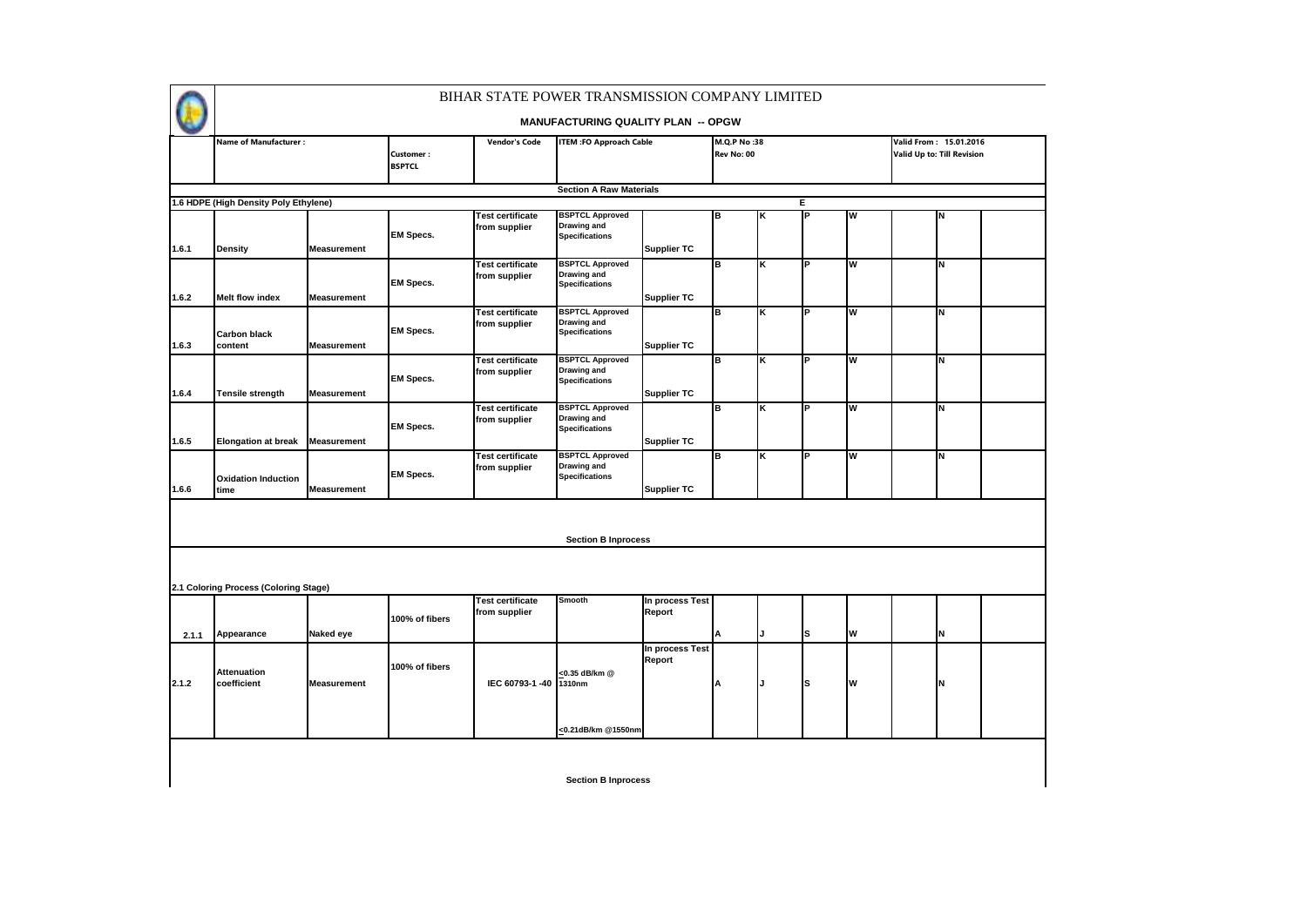

### **MANUFACTURING QUALITY PLAN -- OPGW**

|                | <b>Name of Manufacturer:</b>             |                                          | Customer:        | <b>Vendor's Code</b>                     | <b>ITEM :FO Approach Cable</b>                                        |                                          | M.Q.P No:38<br>Rev No: 00 |    |    |   | Valid From: 15.01.2016<br><b>Valid Up to: Till Revision</b> |  |
|----------------|------------------------------------------|------------------------------------------|------------------|------------------------------------------|-----------------------------------------------------------------------|------------------------------------------|---------------------------|----|----|---|-------------------------------------------------------------|--|
|                |                                          |                                          | <b>BSPTCL</b>    |                                          |                                                                       |                                          |                           |    |    |   |                                                             |  |
|                |                                          |                                          |                  |                                          | <b>Section A Raw Materials</b>                                        |                                          |                           |    |    |   |                                                             |  |
|                | 1.6 HDPE (High Density Poly Ethylene)    |                                          |                  |                                          |                                                                       |                                          |                           |    | Е  |   |                                                             |  |
|                |                                          |                                          | <b>EM Specs.</b> | <b>Test certificate</b><br>from supplier | <b>BSPTCL Approved</b><br><b>Drawing and</b><br><b>Specifications</b> |                                          | B                         | Κ  | P  | W | N                                                           |  |
| 1.6.1          | <b>Density</b><br><b>Melt flow index</b> | <b>Measurement</b>                       | <b>EM Specs.</b> | <b>Test certificate</b><br>from supplier | <b>BSPTCL Approved</b><br><b>Drawing and</b><br><b>Specifications</b> | <b>Supplier TC</b>                       | B                         | K  | ΙP | W | N                                                           |  |
| 1.6.2<br>1.6.3 | <b>Carbon black</b><br>content           | <b>Measurement</b><br><b>Measurement</b> | <b>EM Specs.</b> | <b>Test certificate</b><br>from supplier | <b>BSPTCL Approved</b><br><b>Drawing and</b><br><b>Specifications</b> | <b>Supplier TC</b><br><b>Supplier TC</b> | B                         | κ  | P  | W | N                                                           |  |
| 1.6.4          | Tensile strength                         | <b>Measurement</b>                       | <b>EM Specs.</b> | <b>Test certificate</b><br>from supplier | <b>BSPTCL Approved</b><br>Drawing and<br><b>Specifications</b>        | <b>Supplier TC</b>                       | lв                        | K  | P  | W | İΝ                                                          |  |
| 1.6.5          | <b>Elongation at break</b>               | <b>Measurement</b>                       | <b>EM Specs.</b> | <b>Test certificate</b><br>from supplier | <b>BSPTCL Approved</b><br><b>Drawing and</b><br><b>Specifications</b> | <b>Supplier TC</b>                       | B                         | K  | P  | W | N                                                           |  |
| 1.6.6          | <b>Oxidation Induction</b><br>time       | <b>Measurement</b>                       | <b>EM Specs.</b> | <b>Test certificate</b><br>from supplier | <b>BSPTCL Approved</b><br>Drawing and<br><b>Specifications</b>        | <b>Supplier TC</b>                       | lв                        | K  | ΙP | W | lΝ                                                          |  |
|                |                                          |                                          |                  |                                          | <b>Section B Inprocess</b>                                            |                                          |                           |    |    |   |                                                             |  |
|                | 2.1 Coloring Process (Coloring Stage)    |                                          |                  |                                          |                                                                       |                                          |                           |    |    |   |                                                             |  |
| 2.1.1          | Appearance                               | Naked eye                                | 100% of fibers   | <b>Test certificate</b><br>from supplier | <b>Smooth</b>                                                         | In process Test<br>Report                | А                         | J. | ls | W | İΝ                                                          |  |
| 2.1.2          | <b>Attenuation</b><br>coefficient        | <b>Measurement</b>                       | 100% of fibers   | IEC 60793-1-40                           | <0.35 dB/km @<br>1310nm                                               | In process Test<br>Report                | А                         |    | ls | W | IN                                                          |  |
|                |                                          |                                          |                  |                                          | <0.21dB/km @1550nm                                                    |                                          |                           |    |    |   |                                                             |  |
|                |                                          |                                          |                  |                                          | <b>Section B Inprocess</b>                                            |                                          |                           |    |    |   |                                                             |  |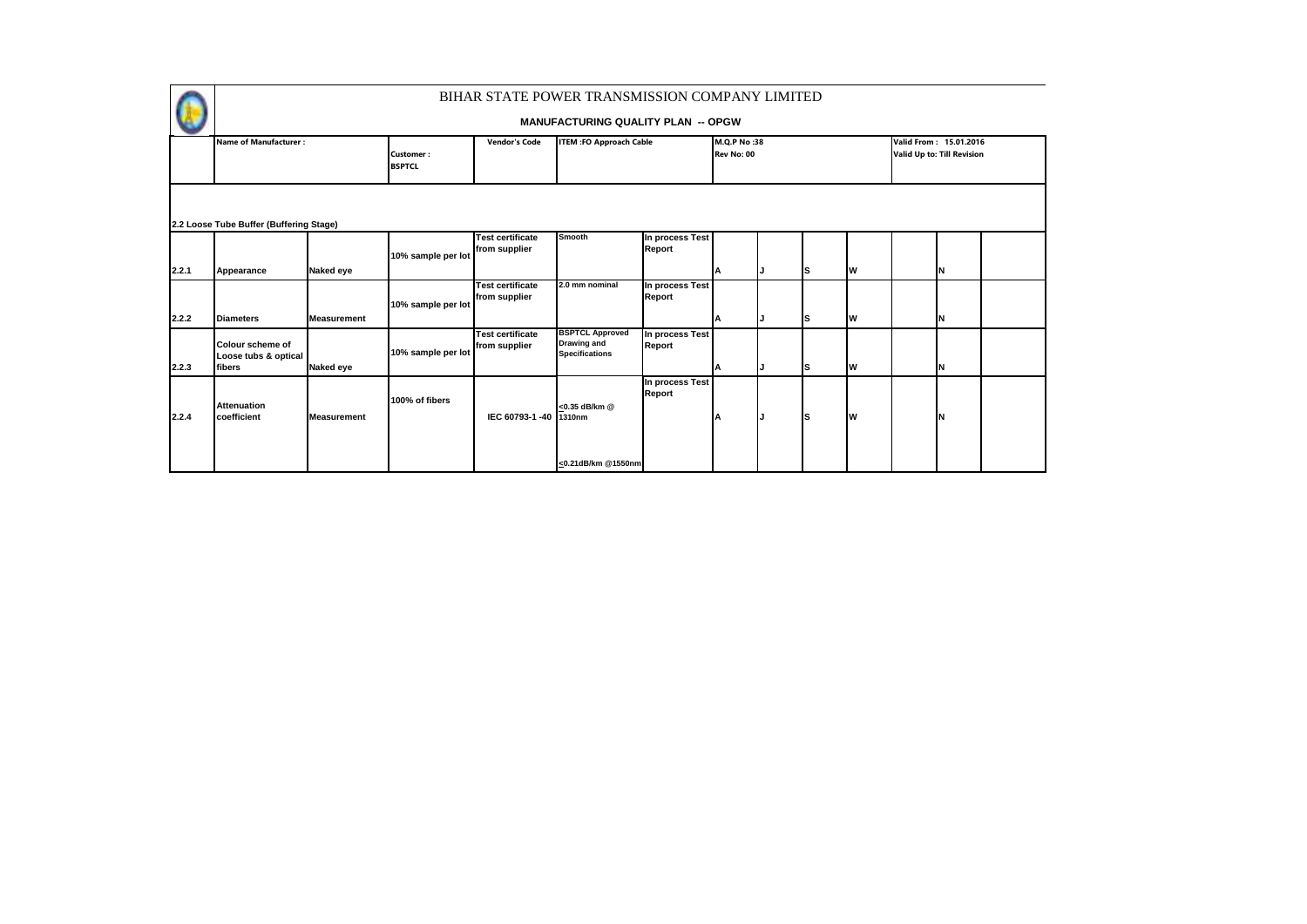

|       | <b>Name of Manufacturer:</b>                              |                    | Customer:<br><b>BSPTCL</b> | <b>Vendor's Code</b>                     | <b>ITEM :FO Approach Cable</b>                                        |                           | M.Q.P No:38<br>Rev No: 00 |    |    | Valid From: 15.01.2016<br>Valid Up to: Till Revision |  |
|-------|-----------------------------------------------------------|--------------------|----------------------------|------------------------------------------|-----------------------------------------------------------------------|---------------------------|---------------------------|----|----|------------------------------------------------------|--|
|       | 2.2 Loose Tube Buffer (Buffering Stage)                   |                    |                            |                                          |                                                                       |                           |                           |    |    |                                                      |  |
|       |                                                           |                    | 10% sample per lot         | <b>Test certificate</b><br>from supplier | Smooth                                                                | In process Test<br>Report |                           |    |    |                                                      |  |
| 2.2.1 | Appearance                                                | Naked eye          |                            |                                          |                                                                       |                           | ΙA                        | Is | Iw | N                                                    |  |
|       |                                                           |                    | 10% sample per lot         | <b>Test certificate</b><br>from supplier | 2.0 mm nominal                                                        | In process Test<br>Report |                           |    |    |                                                      |  |
| 2.2.2 | <b>Diameters</b>                                          | <b>Measurement</b> |                            |                                          |                                                                       |                           | ΙA                        | Is | Iw | N                                                    |  |
| 2.2.3 | <b>Colour scheme of</b><br>Loose tubs & optical<br>fibers | Naked eye          | 10% sample per lot         | <b>Test certificate</b><br>from supplier | <b>BSPTCL Approved</b><br><b>Drawing and</b><br><b>Specifications</b> | In process Test<br>Report |                           | Is | Iw | N                                                    |  |
| 2.2.4 | <b>Attenuation</b><br>coefficient                         | <b>Measurement</b> | 100% of fibers             | IEC 60793-1-40 1310nm                    | <0.35 dB/km @                                                         | In process Test<br>Report |                           | Is | Iw |                                                      |  |
|       |                                                           |                    |                            |                                          | <0.21dB/km @1550nm                                                    |                           |                           |    |    |                                                      |  |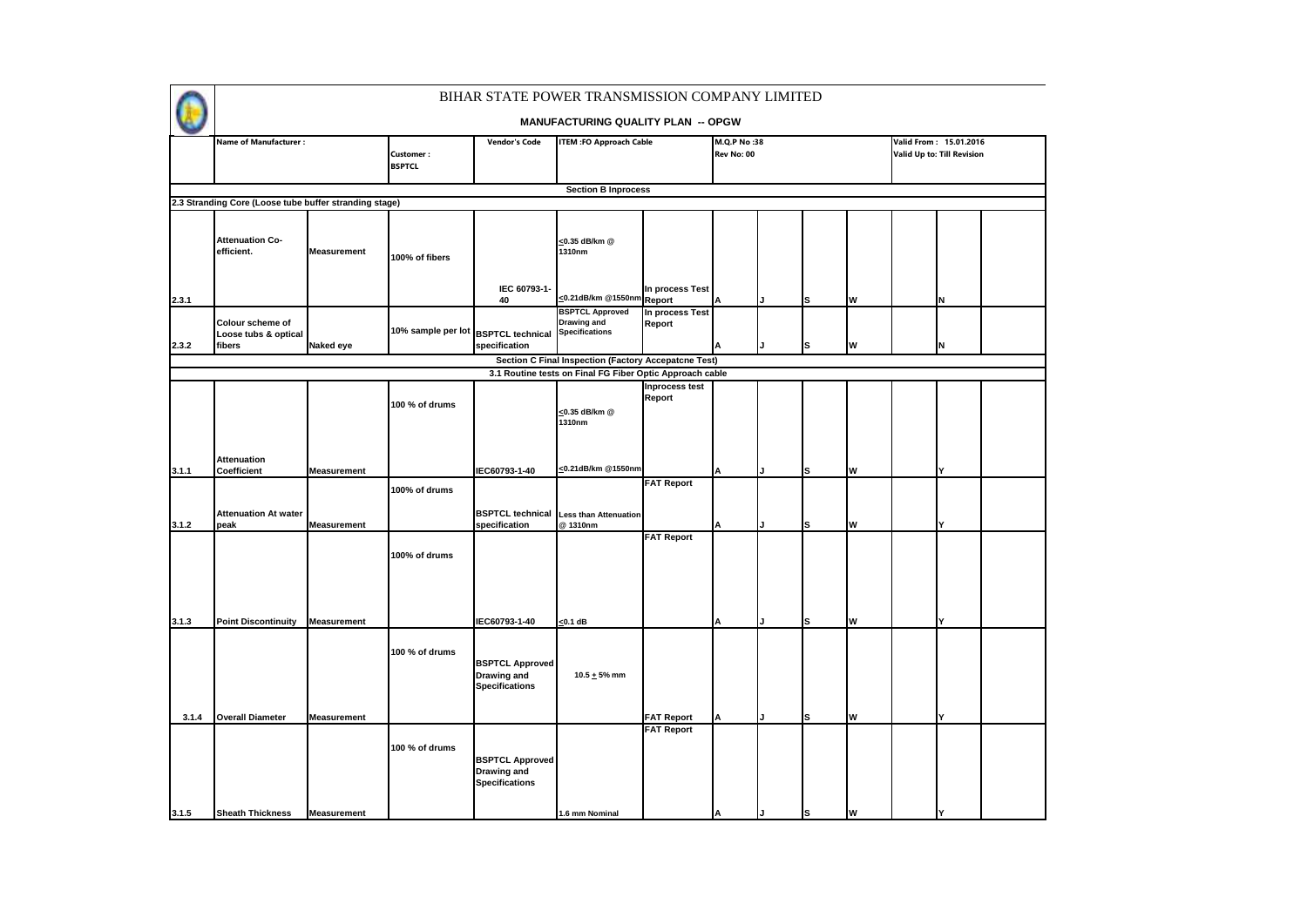|       | <b>Name of Manufacturer:</b>                           |                    | <b>Customer:</b><br><b>BSPTCL</b>   | <b>Vendor's Code</b>                                                  | <b>ITEM : FO Approach Cable</b>                                       |                           | M.Q.P No:38<br>Rev No: 00 |   |   | Valid From: 15.01.2016<br>Valid Up to: Till Revision |  |
|-------|--------------------------------------------------------|--------------------|-------------------------------------|-----------------------------------------------------------------------|-----------------------------------------------------------------------|---------------------------|---------------------------|---|---|------------------------------------------------------|--|
|       |                                                        |                    |                                     |                                                                       |                                                                       |                           |                           |   |   |                                                      |  |
|       |                                                        |                    |                                     |                                                                       | <b>Section B Inprocess</b>                                            |                           |                           |   |   |                                                      |  |
|       | 2.3 Stranding Core (Loose tube buffer stranding stage) |                    |                                     |                                                                       |                                                                       |                           |                           |   |   |                                                      |  |
|       | <b>Attenuation Co-</b><br>efficient.                   | Measurement        | 100% of fibers                      | IEC 60793-1-                                                          | <0.35 dB/km @<br>1310nm                                               | In process Test           |                           |   |   |                                                      |  |
| 2.3.1 |                                                        |                    |                                     | 40                                                                    | <0.21dB/km @1550nm                                                    | Report                    |                           | s | W | N                                                    |  |
| 2.3.2 | Colour scheme of<br>Loose tubs & optical<br>fibers     | Naked eye          | 10% sample per lot BSPTCL technical | specification                                                         | <b>BSPTCL Approved</b><br><b>Drawing and</b><br><b>Specifications</b> | In process Test<br>Report |                           | s | W | N                                                    |  |
|       |                                                        |                    |                                     |                                                                       | Section C Final Inspection (Factory Accepatcne Test)                  |                           |                           |   |   |                                                      |  |
|       |                                                        |                    |                                     |                                                                       | 3.1 Routine tests on Final FG Fiber Optic Approach cable              |                           |                           |   |   |                                                      |  |
|       |                                                        |                    | 100 % of drums                      |                                                                       | <0.35 dB/km @<br>1310nm                                               | Inprocess test<br>Report  |                           |   |   |                                                      |  |
| 3.1.1 | <b>Attenuation</b><br>Coefficient                      | <b>Measurement</b> |                                     | IEC60793-1-40                                                         | <0.21dB/km @1550nm                                                    |                           |                           | s | W |                                                      |  |
|       |                                                        |                    | 100% of drums                       |                                                                       |                                                                       | <b>FAT Report</b>         |                           |   |   |                                                      |  |
| 3.1.2 | <b>Attenuation At water</b><br>peak                    | <b>Measurement</b> |                                     | <b>BSPTCL technical</b><br>specification                              | <b>Less than Attenuation</b><br>@1310nm                               |                           |                           | s | W | Y                                                    |  |
|       |                                                        |                    | 100% of drums                       |                                                                       |                                                                       | <b>FAT Report</b>         |                           |   |   |                                                      |  |
| 3.1.3 | <b>Point Discontinuity</b>                             | Measurement        |                                     | IEC60793-1-40                                                         | $< 0.1$ dB                                                            |                           |                           | s | W | v                                                    |  |
| 3.1.4 | <b>Overall Diameter</b>                                | <b>Measurement</b> | 100 % of drums                      | <b>BSPTCL Approved</b><br>Drawing and<br><b>Specifications</b>        | $10.5 + 5%$ mm                                                        | <b>FAT Report</b>         |                           | s | W | Y                                                    |  |
|       |                                                        |                    |                                     |                                                                       |                                                                       | <b>FAT Report</b>         |                           |   |   |                                                      |  |
|       |                                                        |                    | 100 % of drums                      | <b>BSPTCL Approved</b><br><b>Drawing and</b><br><b>Specifications</b> |                                                                       |                           |                           |   |   |                                                      |  |
| 3.1.5 | <b>Sheath Thickness</b>                                | <b>Measurement</b> |                                     |                                                                       | 1.6 mm Nominal                                                        |                           |                           | s | W | I۷                                                   |  |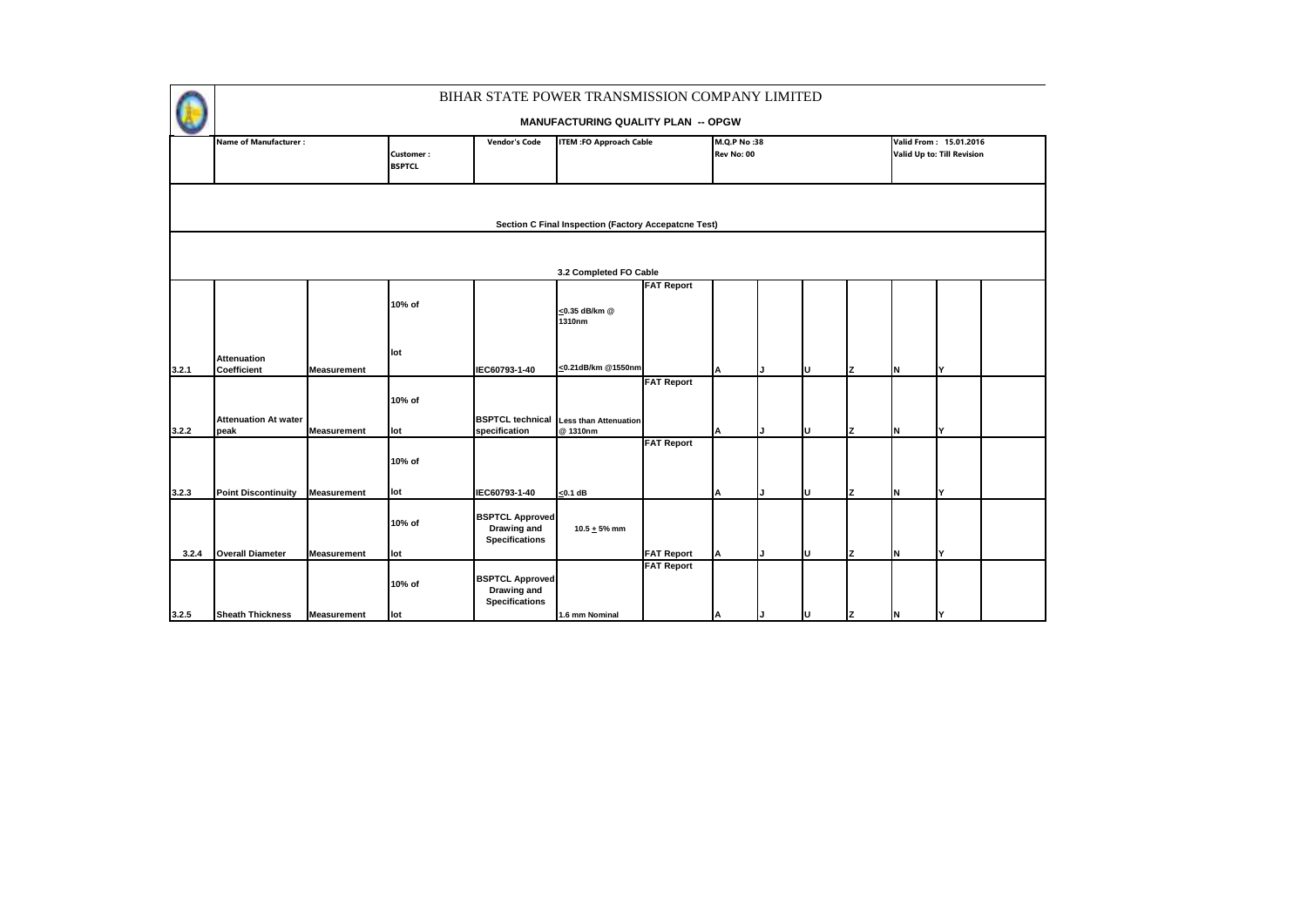|       |                                     |                    |                                   | BIHAR STATE POWER TRANSMISSION COMPANY LIMITED                 |                                                      |                                        |                           |    |     |    |                                                      |  |
|-------|-------------------------------------|--------------------|-----------------------------------|----------------------------------------------------------------|------------------------------------------------------|----------------------------------------|---------------------------|----|-----|----|------------------------------------------------------|--|
|       |                                     |                    |                                   |                                                                | <b>MANUFACTURING QUALITY PLAN -- OPGW</b>            |                                        |                           |    |     |    |                                                      |  |
|       | <b>Name of Manufacturer:</b>        |                    | <b>Customer:</b><br><b>BSPTCL</b> | <b>Vendor's Code</b>                                           | <b>ITEM :FO Approach Cable</b>                       |                                        | M.Q.P No:38<br>Rev No: 00 |    |     |    | Valid From: 15.01.2016<br>Valid Up to: Till Revision |  |
|       |                                     |                    |                                   |                                                                | Section C Final Inspection (Factory Accepatcne Test) |                                        |                           |    |     |    |                                                      |  |
|       |                                     |                    |                                   |                                                                | 3.2 Completed FO Cable                               |                                        |                           |    |     |    |                                                      |  |
|       |                                     |                    | 10% of                            |                                                                | <0.35 dB/km @<br>1310nm                              | <b>FAT Report</b>                      |                           |    |     |    |                                                      |  |
| 3.2.1 | <b>Attenuation</b><br>Coefficient   | <b>Measurement</b> | lot                               | IEC60793-1-40                                                  | <0.21dB/km @1550nm                                   |                                        |                           | п  | Ιz  | İΝ | I۷                                                   |  |
|       |                                     |                    | 10% of                            | <b>BSPTCL technical</b>                                        |                                                      | <b>FAT Report</b>                      |                           |    |     |    |                                                      |  |
| 3.2.2 | <b>Attenuation At water</b><br>peak | <b>Measurement</b> | lot                               | specification                                                  | <b>Less than Attenuation</b><br>@1310nm              |                                        |                           | ΙU | Iz. | İΝ | Y                                                    |  |
|       |                                     |                    | 10% of                            |                                                                |                                                      | <b>FAT Report</b>                      |                           |    |     |    |                                                      |  |
| 3.2.3 | <b>Point Discontinuity</b>          | <b>Measurement</b> | lot                               | IEC60793-1-40                                                  | $<$ 0.1 dB                                           |                                        | А                         | U  | Ιz  | İΝ | Y                                                    |  |
|       |                                     |                    | 10% of                            | <b>BSPTCL Approved</b><br>Drawing and<br><b>Specifications</b> | $10.5 + 5%$ mm                                       |                                        |                           |    |     |    |                                                      |  |
| 3.2.4 | <b>Overall Diameter</b>             | <b>Measurement</b> | lot<br>10% of                     | <b>BSPTCL Approved</b><br>Drawing and                          |                                                      | <b>FAT Report</b><br><b>FAT Report</b> | А                         | ΙU | Ιz  | N  | I۷                                                   |  |
| 3.2.5 | <b>Sheath Thickness</b>             | <b>Measurement</b> | lot                               | <b>Specifications</b>                                          | 1.6 mm Nominal                                       |                                        | ΙA                        | ΙU | z   | IΝ | I۷                                                   |  |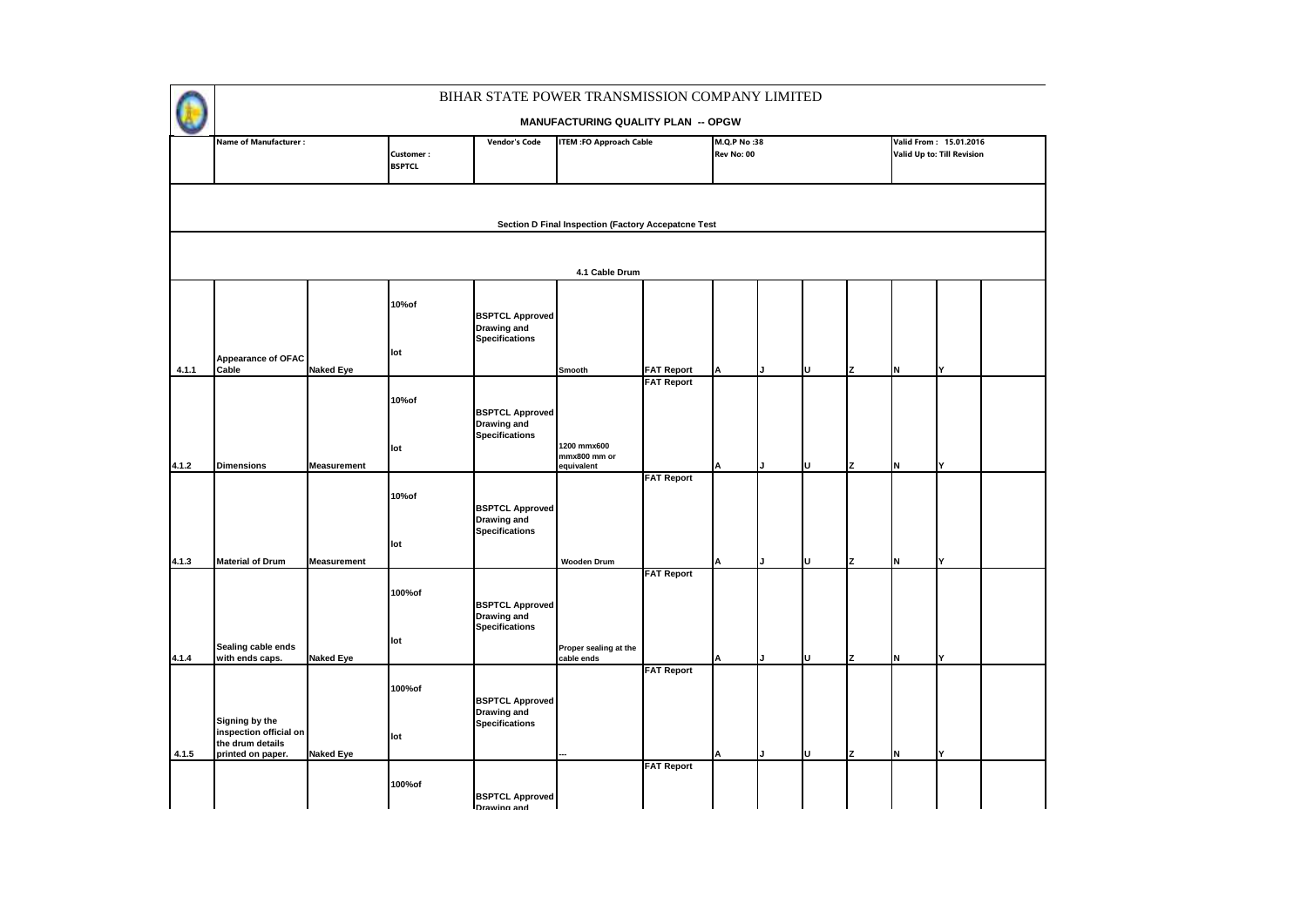|       |                                                              |                    |                            |                                                                       | BIHAR STATE POWER TRANSMISSION COMPANY LIMITED      |                   |                           |   |   |     |                                                      |  |
|-------|--------------------------------------------------------------|--------------------|----------------------------|-----------------------------------------------------------------------|-----------------------------------------------------|-------------------|---------------------------|---|---|-----|------------------------------------------------------|--|
|       |                                                              |                    |                            |                                                                       | <b>MANUFACTURING QUALITY PLAN -- OPGW</b>           |                   |                           |   |   |     |                                                      |  |
|       | <b>Name of Manufacturer:</b>                                 |                    | Customer:<br><b>BSPTCL</b> | Vendor's Code                                                         | <b>ITEM : FO Approach Cable</b>                     |                   | M.Q.P No:38<br>Rev No: 00 |   |   |     | Valid From: 15.01.2016<br>Valid Up to: Till Revision |  |
|       |                                                              |                    |                            |                                                                       | Section D Final Inspection (Factory Accepatcne Test |                   |                           |   |   |     |                                                      |  |
|       |                                                              |                    |                            |                                                                       | 4.1 Cable Drum                                      |                   |                           |   |   |     |                                                      |  |
|       |                                                              |                    | 10%of<br>lot               | <b>BSPTCL Approved</b><br>Drawing and<br><b>Specifications</b>        |                                                     |                   |                           |   |   |     |                                                      |  |
| 4.1.1 | <b>Appearance of OFAC</b><br>Cable                           | <b>Naked Eye</b>   |                            |                                                                       | Smooth                                              | <b>FAT Report</b> |                           | U | z | IN. | Y                                                    |  |
|       |                                                              |                    | 10%of<br>lot               | <b>BSPTCL Approved</b><br><b>Drawing and</b><br><b>Specifications</b> | 1200 mmx600<br>mmx800 mm or                         | <b>FAT Report</b> |                           |   |   |     |                                                      |  |
| 4.1.2 | <b>Dimensions</b>                                            | <b>Measurement</b> |                            |                                                                       | equivalent                                          | <b>FAT Report</b> |                           | υ | 7 | IN. | Y                                                    |  |
|       |                                                              |                    | 10%of<br>lot               | <b>BSPTCL Approved</b><br><b>Drawing and</b><br><b>Specifications</b> |                                                     |                   |                           |   |   |     |                                                      |  |
| 4.1.3 | <b>Material of Drum</b>                                      | <b>Measurement</b> |                            |                                                                       | <b>Wooden Drum</b>                                  | <b>FAT Report</b> |                           | U | 7 | IN. |                                                      |  |
| 4.1.4 | Sealing cable ends<br>with ends caps.                        | <b>Naked Eye</b>   | 100%of<br>lot              | <b>BSPTCL Approved</b><br>Drawing and<br><b>Specifications</b>        | Proper sealing at the<br>cable ends                 |                   |                           | U | z | IN. | Y                                                    |  |
|       | Signing by the<br>inspection official on<br>the drum details |                    | 100%of<br>lot              | <b>BSPTCL Approved</b><br><b>Drawing and</b><br><b>Specifications</b> |                                                     | <b>FAT Report</b> |                           |   |   |     |                                                      |  |
| 4.1.5 | printed on paper.                                            | <b>Naked Eye</b>   |                            |                                                                       |                                                     | <b>FAT Report</b> |                           | U | z | N   | $\checkmark$                                         |  |
|       |                                                              |                    | 100%of                     | <b>BSPTCL Approved</b><br><b>Drawing and</b>                          |                                                     |                   |                           |   |   |     |                                                      |  |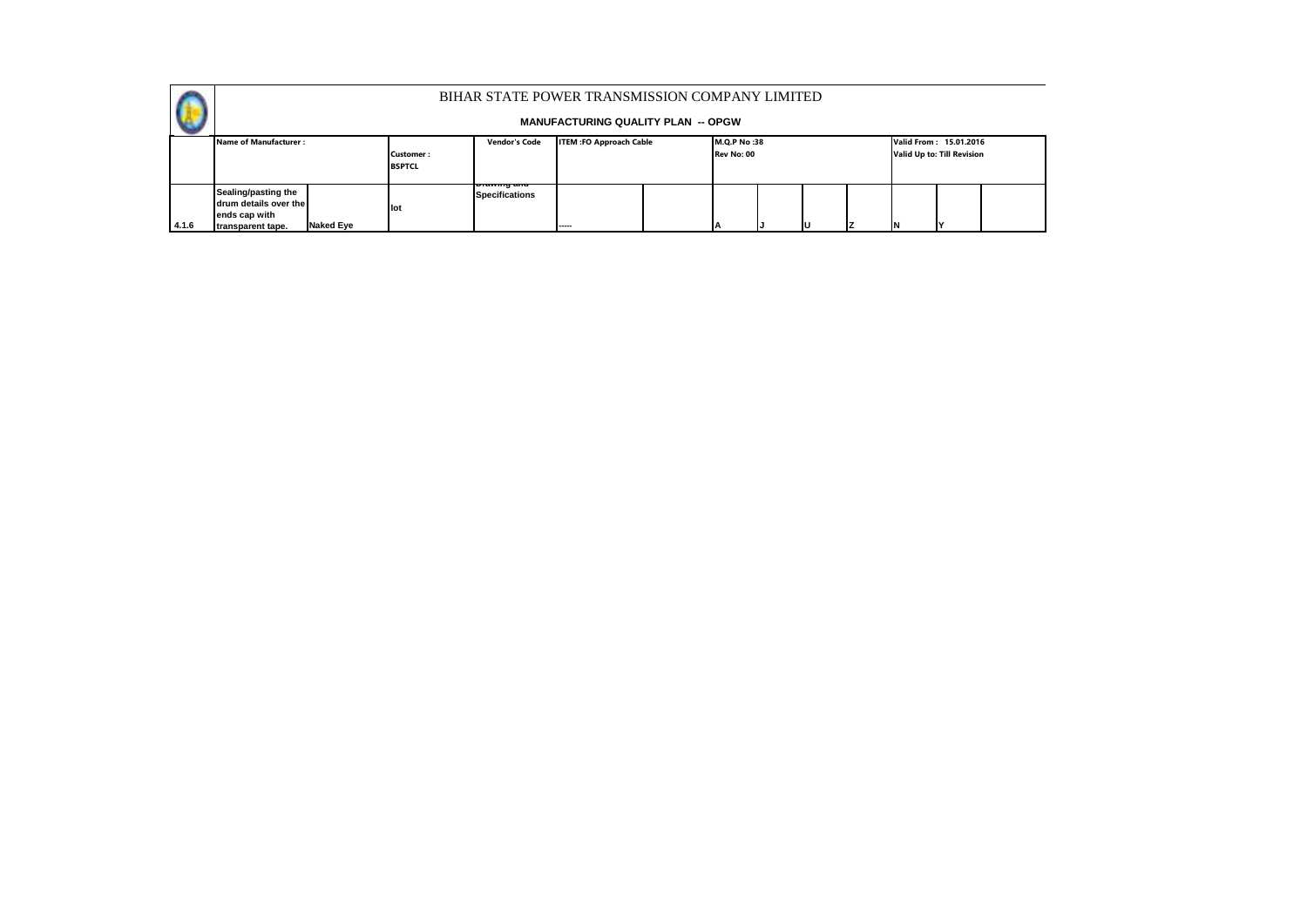

|       | Name of Manufacturer:                                                                                  |                            | <b>Vendor's Code</b>                   | <b>ITEM :FO Approach Cable</b> | <b>M.O.P No:38</b> |            |  |   | Valid From: 15.01.2016 |                            |  |  |
|-------|--------------------------------------------------------------------------------------------------------|----------------------------|----------------------------------------|--------------------------------|--------------------|------------|--|---|------------------------|----------------------------|--|--|
|       |                                                                                                        | Customer:<br><b>BSPTCL</b> |                                        |                                |                    | Rev No: 00 |  |   |                        | Valid Up to: Till Revision |  |  |
| 4.1.6 | Sealing/pasting the<br>drum details over the<br>ends cap with<br><b>Naked Eve</b><br>transparent tape. | <b>I</b> lot               | i Diawing and<br><b>Specifications</b> | -----                          |                    |            |  | ш |                        |                            |  |  |